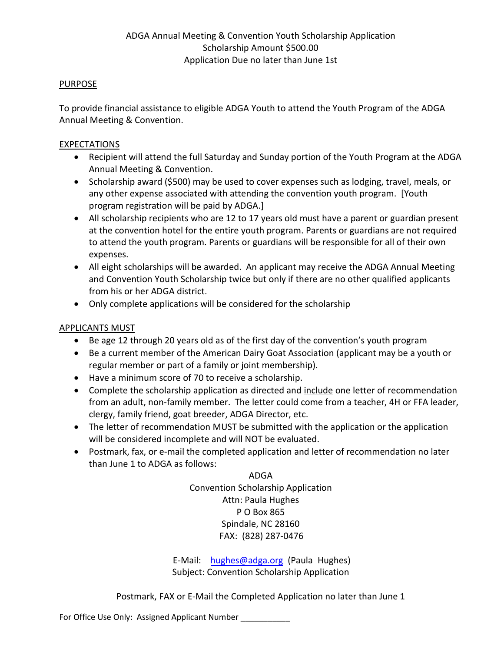## PURPOSE

To provide financial assistance to eligible ADGA Youth to attend the Youth Program of the ADGA Annual Meeting & Convention.

## EXPECTATIONS

- Recipient will attend the full Saturday and Sunday portion of the Youth Program at the ADGA Annual Meeting & Convention.
- Scholarship award (\$500) may be used to cover expenses such as lodging, travel, meals, or any other expense associated with attending the convention youth program. [Youth program registration will be paid by ADGA.]
- All scholarship recipients who are 12 to 17 years old must have a parent or guardian present at the convention hotel for the entire youth program. Parents or guardians are not required to attend the youth program. Parents or guardians will be responsible for all of their own expenses.
- All eight scholarships will be awarded. An applicant may receive the ADGA Annual Meeting and Convention Youth Scholarship twice but only if there are no other qualified applicants from his or her ADGA district.
- Only complete applications will be considered for the scholarship

## APPLICANTS MUST

- Be age 12 through 20 years old as of the first day of the convention's youth program
- Be a current member of the American Dairy Goat Association (applicant may be a youth or regular member or part of a family or joint membership).
- Have a minimum score of 70 to receive a scholarship.
- Complete the scholarship application as directed and include one letter of recommendation from an adult, non-family member. The letter could come from a teacher, 4H or FFA leader, clergy, family friend, goat breeder, ADGA Director, etc.
- The letter of recommendation MUST be submitted with the application or the application will be considered incomplete and will NOT be evaluated.
- Postmark, fax, or e-mail the completed application and letter of recommendation no later than June 1 to ADGA as follows:

ADGA Convention Scholarship Application Attn: Paula Hughes P O Box 865 Spindale, NC 28160 FAX: (828) 287-0476

E-Mail: [hughes@adga.org](mailto:phughes@adga.org) (Paula Hughes) Subject: Convention Scholarship Application

Postmark, FAX or E-Mail the Completed Application no later than June 1